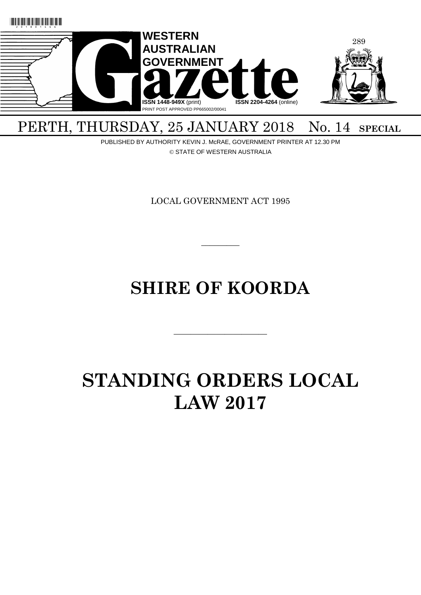

## PERTH, THURSDAY, 25 JANUARY 2018 No. 14 SPECIAL

PUBLISHED BY AUTHORITY KEVIN J. McRAE, GOVERNMENT PRINTER AT 12.30 PM © STATE OF WESTERN AUSTRALIA

LOCAL GOVERNMENT ACT 1995

 $\overline{\phantom{a}}$ 

## **SHIRE OF KOORDA**

———————————

# **STANDING ORDERS LOCAL LAW 2017**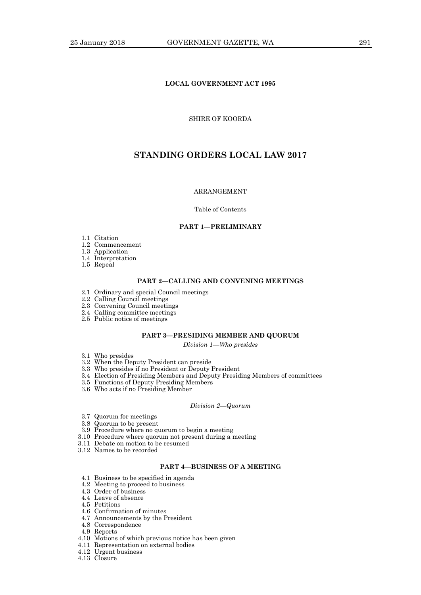## **LOCAL GOVERNMENT ACT 1995**

## SHIRE OF KOORDA

## **STANDING ORDERS LOCAL LAW 2017**

## ARRANGEMENT

#### Table of Contents

#### **PART 1—PRELIMINARY**

- 1.1 Citation
- 1.2 Commencement
- 1.3 Application
- 1.4 Interpretation
- 1.5 Repeal

#### **PART 2—CALLING AND CONVENING MEETINGS**

- 2.1 Ordinary and special Council meetings
- 2.2 Calling Council meetings
- 2.3 Convening Council meetings
- 2.4 Calling committee meetings
- 2.5 Public notice of meetings

## **PART 3—PRESIDING MEMBER AND QUORUM**

*Division 1—Who presides*

- 3.1 Who presides
- 3.2 When the Deputy President can preside
- 3.3 Who presides if no President or Deputy President
- 3.4 Election of Presiding Members and Deputy Presiding Members of committees
- 3.5 Functions of Deputy Presiding Members
- 3.6 Who acts if no Presiding Member

#### *Division 2—Quorum*

- 3.7 Quorum for meetings
- 3.8 Quorum to be present
- 3.9 Procedure where no quorum to begin a meeting
- 3.10 Procedure where quorum not present during a meeting
- 3.11 Debate on motion to be resumed
- 3.12 Names to be recorded

## **PART 4—BUSINESS OF A MEETING**

- 4.1 Business to be specified in agenda
- 4.2 Meeting to proceed to business
- 4.3 Order of business
- 4.4 Leave of absence
- 4.5 Petitions
- 4.6 Confirmation of minutes
- 4.7 Announcements by the President
- 4.8 Correspondence
- 4.9 Reports
- 4.10 Motions of which previous notice has been given
- 4.11 Representation on external bodies
- 4.12 Urgent business
- 4.13 Closure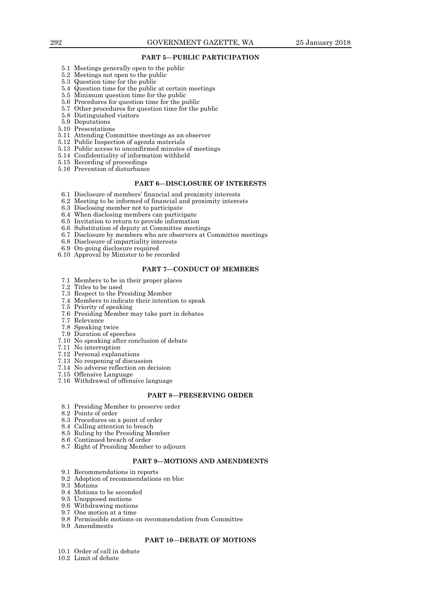#### **PART 5—PUBLIC PARTICIPATION**

- 5.1 Meetings generally open to the public
- 5.2 Meetings not open to the public
- 5.3 Question time for the public
- 5.4 Question time for the public at certain meetings
- 5.5 Minimum question time for the public
- 5.6 Procedures for question time for the public
- 5.7 Other procedures for question time for the public
- 5.8 Distinguished visitors
- 5.9 Deputations
- 5.10 Presentations
- 5.11 Attending Committee meetings as an observer
- 5.12 Public Inspection of agenda materials
- 5.13 Public access to unconfirmed minutes of meetings
- 5.14 Confidentiality of information withheld
- 5.15 Recording of proceedings
- 5.16 Prevention of disturbance

## **PART 6—DISCLOSURE OF INTERESTS**

- 6.1 Disclosure of members' financial and proximity interests
- 6.2 Meeting to be informed of financial and proximity interests
- 6.3 Disclosing member not to participate
- 6.4 When disclosing members can participate
- 6.5 Invitation to return to provide information
- 6.6 Substitution of deputy at Committee meetings
- 6.7 Disclosure by members who are observers at Committee meetings
- 6.8 Disclosure of impartiality interests
- 6.9 On-going disclosure required
- 6.10 Approval by Minister to be recorded

#### **PART 7—CONDUCT OF MEMBERS**

- 7.1 Members to be in their proper places
- 7.2 Titles to be used
- 7.3 Respect to the Presiding Member
- 7.4 Members to indicate their intention to speak
- 7.5 Priority of speaking
- 7.6 Presiding Member may take part in debates
- 7.7 Relevance
- 7.8 Speaking twice
- 7.9 Duration of speeches
- 7.10 No speaking after conclusion of debate
- 7.11 No interruption
- 7.12 Personal explanations
- 7.13 No reopening of discussion
- 7.14 No adverse reflection on decision
- 7.15 Offensive Language
- 7.16 Withdrawal of offensive language

## **PART 8—PRESERVING ORDER**

- 8.1 Presiding Member to preserve order
- 8.2 Points of order
- 8.3 Procedures on a point of order
- 8.4 Calling attention to breach
- 8.5 Ruling by the Presiding Member
- 8.6 Continued breach of order
- 8.7 Right of Presiding Member to adjourn

## **PART 9—MOTIONS AND AMENDMENTS**

- 9.1 Recommendations in reports
- 9.2 Adoption of recommendations en bloc
- 9.3 Motions
- 9.4 Motions to be seconded
- 9.5 Unopposed motions
- 9.6 Withdrawing motions
- 9.7 One motion at a time
- 9.8 Permissible motions on recommendation from Committee
- 9.9 Amendments

## **PART 10—DEBATE OF MOTIONS**

- 10.1 Order of call in debate
- 10.2 Limit of debate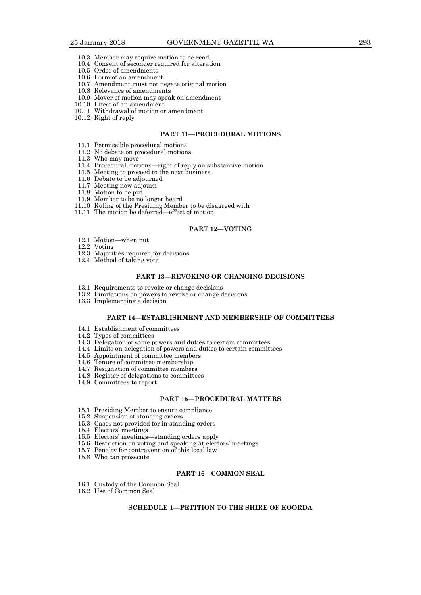- 10.3 Member may require motion to be read
- 10.4 Consent of seconder required for alteration
- 10.5 Order of amendments
- 10.6 Form of an amendment
- 10.7 Amendment must not negate original motion
- 10.8 Relevance of amendments
- 10.9 Mover of motion may speak on amendment
- 10.10 Effect of an amendment
- 10.11 Withdrawal of motion or amendment
- 10.12 Right of reply

#### **PART 11—PROCEDURAL MOTIONS**

- 11.1 Permissible procedural motions
- 11.2 No debate on procedural motions
- 11.3 Who may move
- 11.4 Procedural motions—right of reply on substantive motion
- 11.5 Meeting to proceed to the next business
- 11.6 Debate to be adjourned
- 11.7 Meeting now adjourn
- 11.8 Motion to be put
- 11.9 Member to be no longer heard
- 11.10 Ruling of the Presiding Member to be disagreed with
- 11.11 The motion be deferred—effect of motion

## **PART 12—VOTING**

- 12.1 Motion—when put
- 12.2 Voting
- 12.3 Majorities required for decisions
- 12.4 Method of taking vote

## **PART 13—REVOKING OR CHANGING DECISIONS**

- 13.1 Requirements to revoke or change decisions
- 13.2 Limitations on powers to revoke or change decisions
- 13.3 Implementing a decision

## **PART 14—ESTABLISHMENT AND MEMBERSHIP OF COMMITTEES**

- 14.1 Establishment of committees
- 14.2 Types of committees
- 14.3 Delegation of some powers and duties to certain committees
- 14.4 Limits on delegation of powers and duties to certain committees
- 14.5 Appointment of committee members
- 14.6 Tenure of committee membership
- 14.7 Resignation of committee members
- 14.8 Register of delegations to committees
- 14.9 Committees to report

## **PART 15—PROCEDURAL MATTERS**

- 15.1 Presiding Member to ensure compliance
- 15.2 Suspension of standing orders
- 15.3 Cases not provided for in standing orders
- 15.4 Electors' meetings
- 15.5 Electors' meetings—standing orders apply
- 15.6 Restriction on voting and speaking at electors' meetings
- 15.7 Penalty for contravention of this local law
- 15.8 Who can prosecute

## **PART 16—COMMON SEAL**

- 16.1 Custody of the Common Seal
- 16.2 Use of Common Seal

## **SCHEDULE 1—PETITION TO THE SHIRE OF KOORDA**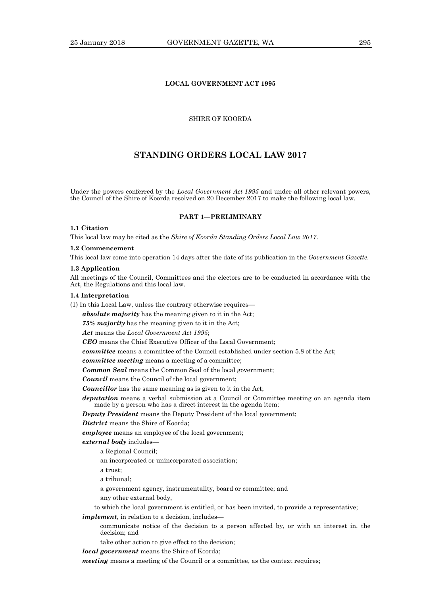## **LOCAL GOVERNMENT ACT 1995**

## SHIRE OF KOORDA

## **STANDING ORDERS LOCAL LAW 2017**

Under the powers conferred by the *Local Government Act 1995* and under all other relevant powers, the Council of the Shire of Koorda resolved on 20 December 2017 to make the following local law.

## **PART 1—PRELIMINARY**

## **1.1 Citation**

This local law may be cited as the *Shire of Koorda Standing Orders Local Law 2017*.

#### **1.2 Commencement**

This local law come into operation 14 days after the date of its publication in the *Government Gazette*.

#### **1.3 Application**

All meetings of the Council, Committees and the electors are to be conducted in accordance with the Act, the Regulations and this local law.

#### **1.4 Interpretation**

(1) In this Local Law, unless the contrary otherwise requires—

*absolute majority* has the meaning given to it in the Act;

*75% majority* has the meaning given to it in the Act;

#### *Act* means the *Local Government Act 1995*;

*CEO* means the Chief Executive Officer of the Local Government;

*committee* means a committee of the Council established under section 5.8 of the Act;

*committee meeting* means a meeting of a committee;

*Common Seal* means the Common Seal of the local government;

*Council* means the Council of the local government;

*Councillor* has the same meaning as is given to it in the Act;

*deputation* means a verbal submission at a Council or Committee meeting on an agenda item made by a person who has a direct interest in the agenda item;

*Deputy President* means the Deputy President of the local government;

*District* means the Shire of Koorda;

*employee* means an employee of the local government;

*external body* includes—

a Regional Council;

an incorporated or unincorporated association;

a trust;

a tribunal;

a government agency, instrumentality, board or committee; and

any other external body,

to which the local government is entitled, or has been invited, to provide a representative;

*implement*, in relation to a decision, includes—

communicate notice of the decision to a person affected by, or with an interest in, the decision; and

take other action to give effect to the decision;

*local government* means the Shire of Koorda;

*meeting* means a meeting of the Council or a committee, as the context requires;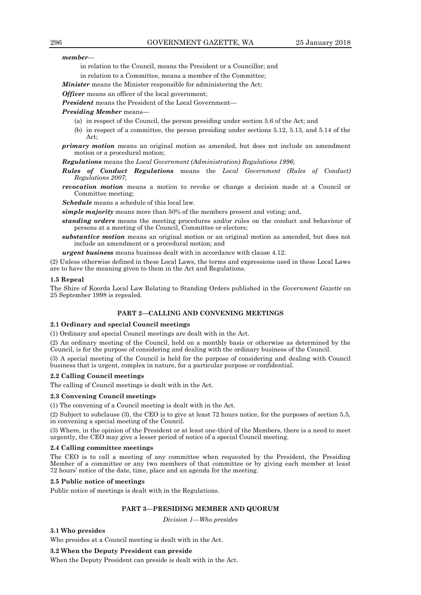*member*—

in relation to the Council, means the President or a Councillor; and

in relation to a Committee, means a member of the Committee;

*Minister* means the Minister responsible for administering the Act;

*Officer* means an officer of the local government;

*President* means the President of the Local Government—

*Presiding Member* means—

- (a) in respect of the Council, the person presiding under section 5.6 of the Act; and
- (b) in respect of a committee, the person presiding under sections 5.12, 5.13, and 5.14 of the Act;
- *primary motion* means an original motion as amended, but does not include an amendment motion or a procedural motion;

*Regulations* means the *Local Government (Administration) Regulations 1996*;

- *Rules of Conduct Regulations* means the *Local Government (Rules of Conduct) Regulations 2007*;
- *revocation motion* means a motion to revoke or change a decision made at a Council or Committee meeting;

*Schedule* means a schedule of this local law.

*simple majority* means more than 50% of the members present and voting; and,

- *standing orders* means the meeting procedures and/or rules on the conduct and behaviour of persons at a meeting of the Council, Committee or electors;
- *substantive motion* means an original motion or an original motion as amended, but does not include an amendment or a procedural motion; and

*urgent business* means business dealt with in accordance with clause 4.12.

(2) Unless otherwise defined in these Local Laws, the terms and expressions used in these Local Laws are to have the meaning given to them in the Act and Regulations.

#### **1.5 Repeal**

The Shire of Koorda Local Law Relating to Standing Orders published in the *Government Gazette* on 25 September 1998 is repealed.

## **PART 2—CALLING AND CONVENING MEETINGS**

#### **2.1 Ordinary and special Council meetings**

(1) Ordinary and special Council meetings are dealt with in the Act.

(2) An ordinary meeting of the Council, held on a monthly basis or otherwise as determined by the Council, is for the purpose of considering and dealing with the ordinary business of the Council.

(3) A special meeting of the Council is held for the purpose of considering and dealing with Council business that is urgent, complex in nature, for a particular purpose or confidential.

#### **2.2 Calling Council meetings**

The calling of Council meetings is dealt with in the Act.

#### **2.3 Convening Council meetings**

(1) The convening of a Council meeting is dealt with in the Act.

(2) Subject to subclause (3), the CEO is to give at least 72 hours notice, for the purposes of section 5.5, in convening a special meeting of the Council.

(3) Where, in the opinion of the President or at least one-third of the Members, there is a need to meet urgently, the CEO may give a lesser period of notice of a special Council meeting.

#### **2.4 Calling committee meetings**

The CEO is to call a meeting of any committee when requested by the President, the Presiding Member of a committee or any two members of that committee or by giving each member at least 72 hours' notice of the date, time, place and an agenda for the meeting.

#### **2.5 Public notice of meetings**

Public notice of meetings is dealt with in the Regulations.

### **PART 3—PRESIDING MEMBER AND QUORUM**

*Division 1—Who presides*

#### **3.1 Who presides**

Who presides at a Council meeting is dealt with in the Act.

#### **3.2 When the Deputy President can preside**

When the Deputy President can preside is dealt with in the Act.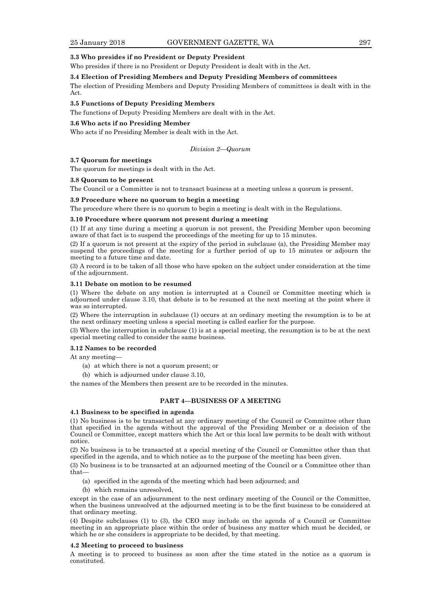### **3.3 Who presides if no President or Deputy President**

Who presides if there is no President or Deputy President is dealt with in the Act.

#### **3.4 Election of Presiding Members and Deputy Presiding Members of committees**

The election of Presiding Members and Deputy Presiding Members of committees is dealt with in the Act.

## **3.5 Functions of Deputy Presiding Members**

The functions of Deputy Presiding Members are dealt with in the Act.

## **3.6 Who acts if no Presiding Member**

Who acts if no Presiding Member is dealt with in the Act.

#### *Division 2—Quorum*

#### **3.7 Quorum for meetings**

The quorum for meetings is dealt with in the Act.

#### **3.8 Quorum to be present**

The Council or a Committee is not to transact business at a meeting unless a quorum is present.

#### **3.9 Procedure where no quorum to begin a meeting**

The procedure where there is no quorum to begin a meeting is dealt with in the Regulations.

### **3.10 Procedure where quorum not present during a meeting**

(1) If at any time during a meeting a quorum is not present, the Presiding Member upon becoming aware of that fact is to suspend the proceedings of the meeting for up to 15 minutes.

(2) If a quorum is not present at the expiry of the period in subclause (a), the Presiding Member may suspend the proceedings of the meeting for a further period of up to 15 minutes or adjourn the meeting to a future time and date.

(3) A record is to be taken of all those who have spoken on the subject under consideration at the time of the adjournment.

#### **3.11 Debate on motion to be resumed**

(1) Where the debate on any motion is interrupted at a Council or Committee meeting which is adjourned under clause 3.10, that debate is to be resumed at the next meeting at the point where it was so interrupted.

(2) Where the interruption in subclause (1) occurs at an ordinary meeting the resumption is to be at the next ordinary meeting unless a special meeting is called earlier for the purpose.

(3) Where the interruption in subclause (1) is at a special meeting, the resumption is to be at the next special meeting called to consider the same business.

#### **3.12 Names to be recorded**

At any meeting—

- (a) at which there is not a quorum present; or
- (b) which is adjourned under clause 3.10,

the names of the Members then present are to be recorded in the minutes.

## **PART 4—BUSINESS OF A MEETING**

## **4.1 Business to be specified in agenda**

(1) No business is to be transacted at any ordinary meeting of the Council or Committee other than that specified in the agenda without the approval of the Presiding Member or a decision of the Council or Committee, except matters which the Act or this local law permits to be dealt with without notice.

(2) No business is to be transacted at a special meeting of the Council or Committee other than that specified in the agenda, and to which notice as to the purpose of the meeting has been given.

(3) No business is to be transacted at an adjourned meeting of the Council or a Committee other than that—

- (a) specified in the agenda of the meeting which had been adjourned; and
- (b) which remains unresolved,

except in the case of an adjournment to the next ordinary meeting of the Council or the Committee, when the business unresolved at the adjourned meeting is to be the first business to be considered at that ordinary meeting.

(4) Despite subclauses (1) to (3), the CEO may include on the agenda of a Council or Committee meeting in an appropriate place within the order of business any matter which must be decided, or which he or she considers is appropriate to be decided, by that meeting.

#### **4.2 Meeting to proceed to business**

A meeting is to proceed to business as soon after the time stated in the notice as a quorum is constituted.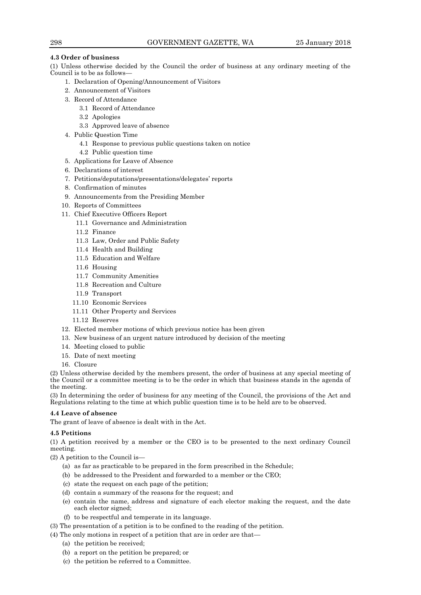## **4.3 Order of business**

(1) Unless otherwise decided by the Council the order of business at any ordinary meeting of the Council is to be as follows—

- 1. Declaration of Opening/Announcement of Visitors
- 2. Announcement of Visitors
- 3. Record of Attendance
	- 3.1 Record of Attendance
		- 3.2 Apologies
		- 3.3 Approved leave of absence
- 4. Public Question Time
	- 4.1 Response to previous public questions taken on notice
	- 4.2 Public question time
- 5. Applications for Leave of Absence
- 6. Declarations of interest
- 7. Petitions/deputations/presentations/delegates' reports
- 8. Confirmation of minutes
- 9. Announcements from the Presiding Member
- 10. Reports of Committees
- 11. Chief Executive Officers Report
	- 11.1 Governance and Administration
	- 11.2 Finance
	- 11.3 Law, Order and Public Safety
	- 11.4 Health and Building
	- 11.5 Education and Welfare
	- 11.6 Housing
	- 11.7 Community Amenities
	- 11.8 Recreation and Culture
	- 11.9 Transport
	- 11.10 Economic Services
	- 11.11 Other Property and Services
	- 11.12 Reserves
- 12. Elected member motions of which previous notice has been given
- 13. New business of an urgent nature introduced by decision of the meeting
- 14. Meeting closed to public
- 15. Date of next meeting
- 16. Closure

(2) Unless otherwise decided by the members present, the order of business at any special meeting of the Council or a committee meeting is to be the order in which that business stands in the agenda of the meeting.

(3) In determining the order of business for any meeting of the Council, the provisions of the Act and Regulations relating to the time at which public question time is to be held are to be observed.

## **4.4 Leave of absence**

The grant of leave of absence is dealt with in the Act.

## **4.5 Petitions**

(1) A petition received by a member or the CEO is to be presented to the next ordinary Council meeting.

(2) A petition to the Council is—

- (a) as far as practicable to be prepared in the form prescribed in the Schedule;
- (b) be addressed to the President and forwarded to a member or the CEO;
- (c) state the request on each page of the petition;
- (d) contain a summary of the reasons for the request; and
- (e) contain the name, address and signature of each elector making the request, and the date each elector signed;
- (f) to be respectful and temperate in its language.
- (3) The presentation of a petition is to be confined to the reading of the petition.
- (4) The only motions in respect of a petition that are in order are that—
	- (a) the petition be received;
	- (b) a report on the petition be prepared; or
	- (c) the petition be referred to a Committee.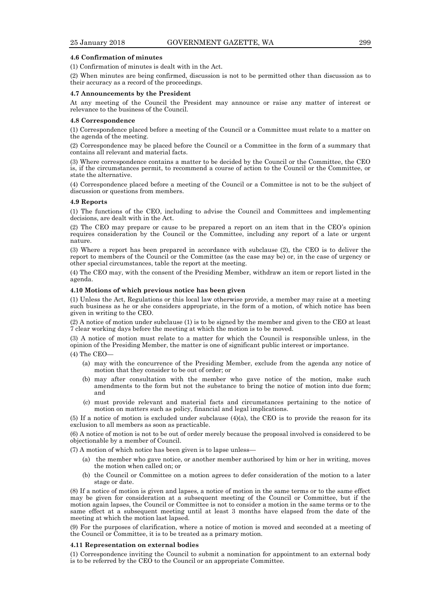## **4.6 Confirmation of minutes**

(1) Confirmation of minutes is dealt with in the Act.

(2) When minutes are being confirmed, discussion is not to be permitted other than discussion as to their accuracy as a record of the proceedings.

#### **4.7 Announcements by the President**

At any meeting of the Council the President may announce or raise any matter of interest or relevance to the business of the Council.

#### **4.8 Correspondence**

(1) Correspondence placed before a meeting of the Council or a Committee must relate to a matter on the agenda of the meeting.

(2) Correspondence may be placed before the Council or a Committee in the form of a summary that contains all relevant and material facts.

(3) Where correspondence contains a matter to be decided by the Council or the Committee, the CEO is, if the circumstances permit, to recommend a course of action to the Council or the Committee, or state the alternative.

(4) Correspondence placed before a meeting of the Council or a Committee is not to be the subject of discussion or questions from members.

#### **4.9 Reports**

(1) The functions of the CEO, including to advise the Council and Committees and implementing decisions, are dealt with in the Act.

(2) The CEO may prepare or cause to be prepared a report on an item that in the CEO's opinion requires consideration by the Council or the Committee, including any report of a late or urgent nature.

(3) Where a report has been prepared in accordance with subclause (2), the CEO is to deliver the report to members of the Council or the Committee (as the case may be) or, in the case of urgency or other special circumstances, table the report at the meeting.

(4) The CEO may, with the consent of the Presiding Member, withdraw an item or report listed in the agenda.

#### **4.10 Motions of which previous notice has been given**

(1) Unless the Act, Regulations or this local law otherwise provide, a member may raise at a meeting such business as he or she considers appropriate, in the form of a motion, of which notice has been given in writing to the CEO.

(2) A notice of motion under subclause (1) is to be signed by the member and given to the CEO at least 7 clear working days before the meeting at which the motion is to be moved.

(3) A notice of motion must relate to a matter for which the Council is responsible unless, in the opinion of the Presiding Member, the matter is one of significant public interest or importance.

(4) The CEO—

- (a) may with the concurrence of the Presiding Member, exclude from the agenda any notice of motion that they consider to be out of order; or
- (b) may after consultation with the member who gave notice of the motion, make such amendments to the form but not the substance to bring the notice of motion into due form; and
- (c) must provide relevant and material facts and circumstances pertaining to the notice of motion on matters such as policy, financial and legal implications.

(5) If a notice of motion is excluded under subclause  $(4)(a)$ , the CEO is to provide the reason for its exclusion to all members as soon as practicable.

(6) A notice of motion is not to be out of order merely because the proposal involved is considered to be objectionable by a member of Council.

(7) A motion of which notice has been given is to lapse unless—

- the member who gave notice, or another member authorised by him or her in writing, moves the motion when called on; or
- (b) the Council or Committee on a motion agrees to defer consideration of the motion to a later stage or date.

(8) If a notice of motion is given and lapses, a notice of motion in the same terms or to the same effect may be given for consideration at a subsequent meeting of the Council or Committee, but if the motion again lapses, the Council or Committee is not to consider a motion in the same terms or to the same effect at a subsequent meeting until at least 3 months have elapsed from the date of the meeting at which the motion last lapsed.

(9) For the purposes of clarification, where a notice of motion is moved and seconded at a meeting of the Council or Committee, it is to be treated as a primary motion.

#### **4.11 Representation on external bodies**

(1) Correspondence inviting the Council to submit a nomination for appointment to an external body is to be referred by the CEO to the Council or an appropriate Committee.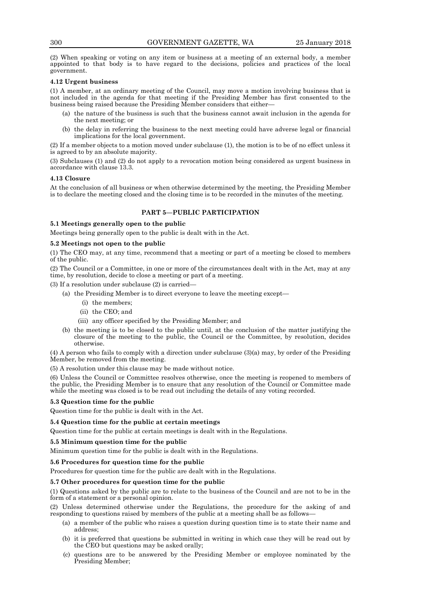(2) When speaking or voting on any item or business at a meeting of an external body, a member appointed to that body is to have regard to the decisions, policies and practices of the local government.

## **4.12 Urgent business**

(1) A member, at an ordinary meeting of the Council, may move a motion involving business that is not included in the agenda for that meeting if the Presiding Member has first consented to the business being raised because the Presiding Member considers that either—

- (a) the nature of the business is such that the business cannot await inclusion in the agenda for the next meeting; or
- (b) the delay in referring the business to the next meeting could have adverse legal or financial implications for the local government.

(2) If a member objects to a motion moved under subclause (1), the motion is to be of no effect unless it is agreed to by an absolute majority.

(3) Subclauses (1) and (2) do not apply to a revocation motion being considered as urgent business in accordance with clause 13.3.

#### **4.13 Closure**

At the conclusion of all business or when otherwise determined by the meeting, the Presiding Member is to declare the meeting closed and the closing time is to be recorded in the minutes of the meeting.

## **PART 5—PUBLIC PARTICIPATION**

#### **5.1 Meetings generally open to the public**

Meetings being generally open to the public is dealt with in the Act.

### **5.2 Meetings not open to the public**

(1) The CEO may, at any time, recommend that a meeting or part of a meeting be closed to members of the public.

(2) The Council or a Committee, in one or more of the circumstances dealt with in the Act, may at any time, by resolution, decide to close a meeting or part of a meeting.

(3) If a resolution under subclause (2) is carried—

- (a) the Presiding Member is to direct everyone to leave the meeting except—
	- (i) the members;
	- (ii) the CEO; and
	- (iii) any officer specified by the Presiding Member; and
- (b) the meeting is to be closed to the public until, at the conclusion of the matter justifying the closure of the meeting to the public, the Council or the Committee, by resolution, decides otherwise.

(4) A person who fails to comply with a direction under subclause (3)(a) may, by order of the Presiding Member, be removed from the meeting.

A resolution under this clause may be made without notice.

(6) Unless the Council or Committee resolves otherwise, once the meeting is reopened to members of the public, the Presiding Member is to ensure that any resolution of the Council or Committee made while the meeting was closed is to be read out including the details of any voting recorded.

#### **5.3 Question time for the public**

Question time for the public is dealt with in the Act.

#### **5.4 Question time for the public at certain meetings**

Question time for the public at certain meetings is dealt with in the Regulations.

#### **5.5 Minimum question time for the public**

Minimum question time for the public is dealt with in the Regulations.

#### **5.6 Procedures for question time for the public**

Procedures for question time for the public are dealt with in the Regulations.

## **5.7 Other procedures for question time for the public**

(1) Questions asked by the public are to relate to the business of the Council and are not to be in the form of a statement or a personal opinion.

(2) Unless determined otherwise under the Regulations, the procedure for the asking of and responding to questions raised by members of the public at a meeting shall be as follows—

- (a) a member of the public who raises a question during question time is to state their name and address;
- (b) it is preferred that questions be submitted in writing in which case they will be read out by the CEO but questions may be asked orally;
- (c) questions are to be answered by the Presiding Member or employee nominated by the Presiding Member;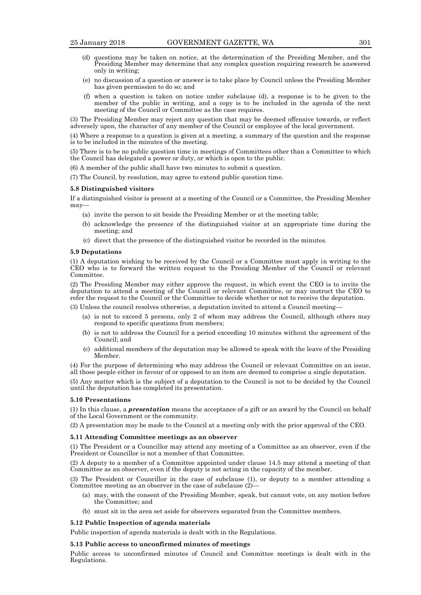- (d) questions may be taken on notice, at the determination of the Presiding Member, and the Presiding Member may determine that any complex question requiring research be answered only in writing;
- (e) no discussion of a question or answer is to take place by Council unless the Presiding Member has given permission to do so; and
- (f) when a question is taken on notice under subclause (d), a response is to be given to the member of the public in writing, and a copy is to be included in the agenda of the next meeting of the Council or Committee as the case requires.

(3) The Presiding Member may reject any question that may be deemed offensive towards, or reflect adversely upon, the character of any member of the Council or employee of the local government.

(4) Where a response to a question is given at a meeting, a summary of the question and the response is to be included in the minutes of the meeting.

(5) There is to be no public question time in meetings of Committees other than a Committee to which the Council has delegated a power or duty, or which is open to the public.

(6) A member of the public shall have two minutes to submit a question.

(7) The Council, by resolution, may agree to extend public question time.

## **5.8 Distinguished visitors**

If a distinguished visitor is present at a meeting of the Council or a Committee, the Presiding Member may—

- (a) invite the person to sit beside the Presiding Member or at the meeting table;
- (b) acknowledge the presence of the distinguished visitor at an appropriate time during the meeting; and
- (c) direct that the presence of the distinguished visitor be recorded in the minutes.

#### **5.9 Deputations**

(1) A deputation wishing to be received by the Council or a Committee must apply in writing to the CEO who is to forward the written request to the Presiding Member of the Council or relevant Committee.

(2) The Presiding Member may either approve the request, in which event the CEO is to invite the deputation to attend a meeting of the Council or relevant Committee, or may instruct the CEO to refer the request to the Council or the Committee to decide whether or not to receive the deputation.

(3) Unless the council resolves otherwise, a deputation invited to attend a Council meeting—

- (a) is not to exceed 5 persons, only 2 of whom may address the Council, although others may respond to specific questions from members;
- (b) is not to address the Council for a period exceeding 10 minutes without the agreement of the Council; and
- (c) additional members of the deputation may be allowed to speak with the leave of the Presiding Member.

(4) For the purpose of determining who may address the Council or relevant Committee on an issue, all those people either in favour of or opposed to an item are deemed to comprise a single deputation.

(5) Any matter which is the subject of a deputation to the Council is not to be decided by the Council until the deputation has completed its presentation.

#### **5.10 Presentations**

(1) In this clause, a *presentation* means the acceptance of a gift or an award by the Council on behalf of the Local Government or the community.

(2) A presentation may be made to the Council at a meeting only with the prior approval of the CEO.

#### **5.11 Attending Committee meetings as an observer**

(1) The President or a Councillor may attend any meeting of a Committee as an observer, even if the President or Councillor is not a member of that Committee.

(2) A deputy to a member of a Committee appointed under clause 14.5 may attend a meeting of that Committee as an observer, even if the deputy is not acting in the capacity of the member.

(3) The President or Councillor in the case of subclause (1), or deputy to a member attending a Committee meeting as an observer in the case of subclause (2)—

- (a) may, with the consent of the Presiding Member, speak, but cannot vote, on any motion before the Committee; and
- (b) must sit in the area set aside for observers separated from the Committee members.

### **5.12 Public Inspection of agenda materials**

Public inspection of agenda materials is dealt with in the Regulations.

#### **5.13 Public access to unconfirmed minutes of meetings**

Public access to unconfirmed minutes of Council and Committee meetings is dealt with in the Regulations.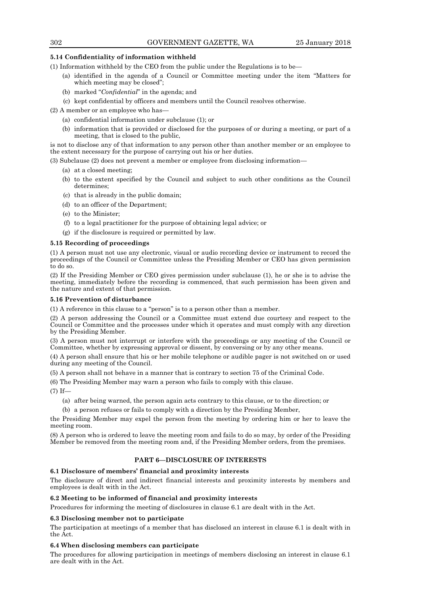## **5.14 Confidentiality of information withheld**

(1) Information withheld by the CEO from the public under the Regulations is to be—

- (a) identified in the agenda of a Council or Committee meeting under the item "Matters for which meeting may be closed";
- (b) marked "*Confidential*" in the agenda; and
- (c) kept confidential by officers and members until the Council resolves otherwise.

(2) A member or an employee who has—

- (a) confidential information under subclause (1); or
- (b) information that is provided or disclosed for the purposes of or during a meeting, or part of a meeting, that is closed to the public,

is not to disclose any of that information to any person other than another member or an employee to the extent necessary for the purpose of carrying out his or her duties.

(3) Subclause (2) does not prevent a member or employee from disclosing information—

- (a) at a closed meeting;
- (b) to the extent specified by the Council and subject to such other conditions as the Council determines;
- (c) that is already in the public domain;
- (d) to an officer of the Department;
- (e) to the Minister;
- (f) to a legal practitioner for the purpose of obtaining legal advice; or
- (g) if the disclosure is required or permitted by law.

## **5.15 Recording of proceedings**

(1) A person must not use any electronic, visual or audio recording device or instrument to record the proceedings of the Council or Committee unless the Presiding Member or CEO has given permission to do so.

(2) If the Presiding Member or CEO gives permission under subclause (1), he or she is to advise the meeting, immediately before the recording is commenced, that such permission has been given and the nature and extent of that permission.

## **5.16 Prevention of disturbance**

(1) A reference in this clause to a "person" is to a person other than a member.

(2) A person addressing the Council or a Committee must extend due courtesy and respect to the Council or Committee and the processes under which it operates and must comply with any direction by the Presiding Member.

(3) A person must not interrupt or interfere with the proceedings or any meeting of the Council or Committee, whether by expressing approval or dissent, by conversing or by any other means.

(4) A person shall ensure that his or her mobile telephone or audible pager is not switched on or used during any meeting of the Council.

(5) A person shall not behave in a manner that is contrary to section 75 of the Criminal Code.

(6) The Presiding Member may warn a person who fails to comply with this clause.

(7) If—

- (a) after being warned, the person again acts contrary to this clause, or to the direction; or
- (b) a person refuses or fails to comply with a direction by the Presiding Member,

the Presiding Member may expel the person from the meeting by ordering him or her to leave the meeting room.

(8) A person who is ordered to leave the meeting room and fails to do so may, by order of the Presiding Member be removed from the meeting room and, if the Presiding Member orders, from the premises.

## **PART 6—DISCLOSURE OF INTERESTS**

## **6.1 Disclosure of members' financial and proximity interests**

The disclosure of direct and indirect financial interests and proximity interests by members and employees is dealt with in the Act.

## **6.2 Meeting to be informed of financial and proximity interests**

Procedures for informing the meeting of disclosures in clause 6.1 are dealt with in the Act.

## **6.3 Disclosing member not to participate**

The participation at meetings of a member that has disclosed an interest in clause 6.1 is dealt with in the Act.

## **6.4 When disclosing members can participate**

The procedures for allowing participation in meetings of members disclosing an interest in clause 6.1 are dealt with in the Act.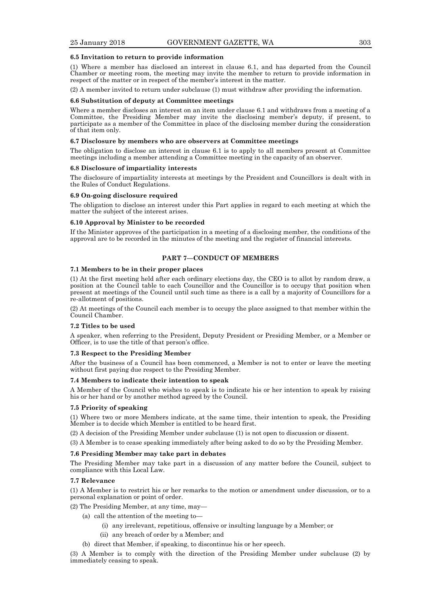#### **6.5 Invitation to return to provide information**

(1) Where a member has disclosed an interest in clause 6.1, and has departed from the Council Chamber or meeting room, the meeting may invite the member to return to provide information in respect of the matter or in respect of the member's interest in the matter.

(2) A member invited to return under subclause (1) must withdraw after providing the information.

#### **6.6 Substitution of deputy at Committee meetings**

Where a member discloses an interest on an item under clause 6.1 and withdraws from a meeting of a Committee, the Presiding Member may invite the disclosing member's deputy, if present, to participate as a member of the Committee in place of the disclosing member during the consideration of that item only.

#### **6.7 Disclosure by members who are observers at Committee meetings**

The obligation to disclose an interest in clause 6.1 is to apply to all members present at Committee meetings including a member attending a Committee meeting in the capacity of an observer.

#### **6.8 Disclosure of impartiality interests**

The disclosure of impartiality interests at meetings by the President and Councillors is dealt with in the Rules of Conduct Regulations.

#### **6.9 On-going disclosure required**

The obligation to disclose an interest under this Part applies in regard to each meeting at which the matter the subject of the interest arises.

#### **6.10 Approval by Minister to be recorded**

If the Minister approves of the participation in a meeting of a disclosing member, the conditions of the approval are to be recorded in the minutes of the meeting and the register of financial interests.

## **PART 7—CONDUCT OF MEMBERS**

#### **7.1 Members to be in their proper places**

(1) At the first meeting held after each ordinary elections day, the CEO is to allot by random draw, a position at the Council table to each Councillor and the Councillor is to occupy that position when present at meetings of the Council until such time as there is a call by a majority of Councillors for a re-allotment of positions.

(2) At meetings of the Council each member is to occupy the place assigned to that member within the Council Chamber.

#### **7.2 Titles to be used**

A speaker, when referring to the President, Deputy President or Presiding Member, or a Member or Officer, is to use the title of that person's office.

#### **7.3 Respect to the Presiding Member**

After the business of a Council has been commenced, a Member is not to enter or leave the meeting without first paying due respect to the Presiding Member.

#### **7.4 Members to indicate their intention to speak**

A Member of the Council who wishes to speak is to indicate his or her intention to speak by raising his or her hand or by another method agreed by the Council.

#### **7.5 Priority of speaking**

(1) Where two or more Members indicate, at the same time, their intention to speak, the Presiding Member is to decide which Member is entitled to be heard first.

(2) A decision of the Presiding Member under subclause (1) is not open to discussion or dissent.

(3) A Member is to cease speaking immediately after being asked to do so by the Presiding Member.

#### **7.6 Presiding Member may take part in debates**

The Presiding Member may take part in a discussion of any matter before the Council, subject to compliance with this Local Law.

#### **7.7 Relevance**

(1) A Member is to restrict his or her remarks to the motion or amendment under discussion, or to a personal explanation or point of order.

- (2) The Presiding Member, at any time, may—
	- (a) call the attention of the meeting to—
		- (i) any irrelevant, repetitious, offensive or insulting language by a Member; or
		- (ii) any breach of order by a Member; and
		- (b) direct that Member, if speaking, to discontinue his or her speech.

(3) A Member is to comply with the direction of the Presiding Member under subclause (2) by immediately ceasing to speak.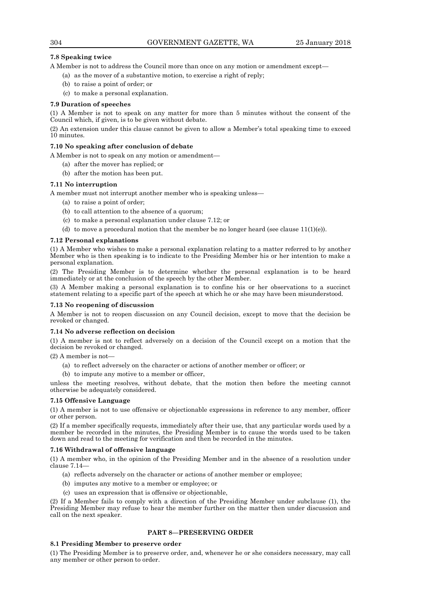## **7.8 Speaking twice**

A Member is not to address the Council more than once on any motion or amendment except—

- (a) as the mover of a substantive motion, to exercise a right of reply;
- (b) to raise a point of order; or
- (c) to make a personal explanation.

### **7.9 Duration of speeches**

(1) A Member is not to speak on any matter for more than 5 minutes without the consent of the Council which, if given, is to be given without debate.

(2) An extension under this clause cannot be given to allow a Member's total speaking time to exceed 10 minutes.

#### **7.10 No speaking after conclusion of debate**

A Member is not to speak on any motion or amendment—

- (a) after the mover has replied; or
- (b) after the motion has been put.

#### **7.11 No interruption**

A member must not interrupt another member who is speaking unless—

- (a) to raise a point of order;
- (b) to call attention to the absence of a quorum;
- (c) to make a personal explanation under clause 7.12; or
- (d) to move a procedural motion that the member be no longer heard (see clause  $11(1)(e)$ ).

### **7.12 Personal explanations**

(1) A Member who wishes to make a personal explanation relating to a matter referred to by another Member who is then speaking is to indicate to the Presiding Member his or her intention to make a personal explanation.

(2) The Presiding Member is to determine whether the personal explanation is to be heard immediately or at the conclusion of the speech by the other Member.

(3) A Member making a personal explanation is to confine his or her observations to a succinct statement relating to a specific part of the speech at which he or she may have been misunderstood.

#### **7.13 No reopening of discussion**

A Member is not to reopen discussion on any Council decision, except to move that the decision be revoked or changed.

#### **7.14 No adverse reflection on decision**

(1) A member is not to reflect adversely on a decision of the Council except on a motion that the decision be revoked or changed.

 $(2)$  A member is not

- (a) to reflect adversely on the character or actions of another member or officer; or
- (b) to impute any motive to a member or officer,

unless the meeting resolves, without debate, that the motion then before the meeting cannot otherwise be adequately considered.

#### **7.15 Offensive Language**

(1) A member is not to use offensive or objectionable expressions in reference to any member, officer or other person.

(2) If a member specifically requests, immediately after their use, that any particular words used by a member be recorded in the minutes, the Presiding Member is to cause the words used to be taken down and read to the meeting for verification and then be recorded in the minutes.

#### **7.16 Withdrawal of offensive language**

(1) A member who, in the opinion of the Presiding Member and in the absence of a resolution under clause 7.14—

- (a) reflects adversely on the character or actions of another member or employee;
- (b) imputes any motive to a member or employee; or
- (c) uses an expression that is offensive or objectionable,

(2) If a Member fails to comply with a direction of the Presiding Member under subclause (1), the Presiding Member may refuse to hear the member further on the matter then under discussion and call on the next speaker.

## **PART 8—PRESERVING ORDER**

## **8.1 Presiding Member to preserve order**

(1) The Presiding Member is to preserve order, and, whenever he or she considers necessary, may call any member or other person to order.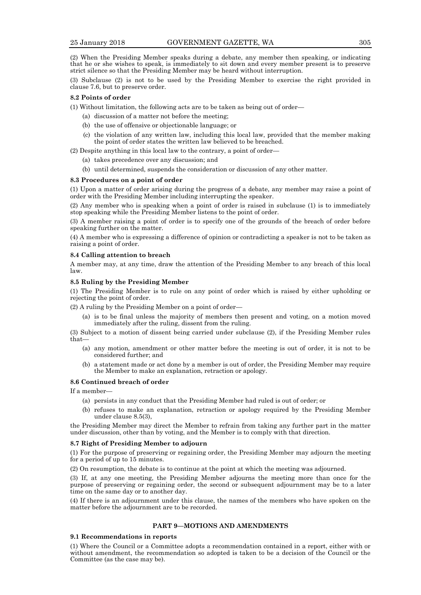(2) When the Presiding Member speaks during a debate, any member then speaking, or indicating that he or she wishes to speak, is immediately to sit down and every member present is to preserve strict silence so that the Presiding Member may be heard without interruption.

(3) Subclause (2) is not to be used by the Presiding Member to exercise the right provided in clause 7.6, but to preserve order.

#### **8.2 Points of order**

(1) Without limitation, the following acts are to be taken as being out of order—

- (a) discussion of a matter not before the meeting;
- (b) the use of offensive or objectionable language; or
- (c) the violation of any written law, including this local law, provided that the member making the point of order states the written law believed to be breached.

(2) Despite anything in this local law to the contrary, a point of order—

- (a) takes precedence over any discussion; and
- (b) until determined, suspends the consideration or discussion of any other matter.

#### **8.3 Procedures on a point of order**

(1) Upon a matter of order arising during the progress of a debate, any member may raise a point of order with the Presiding Member including interrupting the speaker.

(2) Any member who is speaking when a point of order is raised in subclause (1) is to immediately stop speaking while the Presiding Member listens to the point of order.

(3) A member raising a point of order is to specify one of the grounds of the breach of order before speaking further on the matter.

(4) A member who is expressing a difference of opinion or contradicting a speaker is not to be taken as raising a point of order.

#### **8.4 Calling attention to breach**

A member may, at any time, draw the attention of the Presiding Member to any breach of this local law.

#### **8.5 Ruling by the Presiding Member**

(1) The Presiding Member is to rule on any point of order which is raised by either upholding or rejecting the point of order.

(2) A ruling by the Presiding Member on a point of order—

(a) is to be final unless the majority of members then present and voting, on a motion moved immediately after the ruling, dissent from the ruling.

(3) Subject to a motion of dissent being carried under subclause (2), if the Presiding Member rules that—

- (a) any motion, amendment or other matter before the meeting is out of order, it is not to be considered further; and
- (b) a statement made or act done by a member is out of order, the Presiding Member may require the Member to make an explanation, retraction or apology.

### **8.6 Continued breach of order**

If a member—

- (a) persists in any conduct that the Presiding Member had ruled is out of order; or
- (b) refuses to make an explanation, retraction or apology required by the Presiding Member under clause 8.5(3),

the Presiding Member may direct the Member to refrain from taking any further part in the matter under discussion, other than by voting, and the Member is to comply with that direction.

#### **8.7 Right of Presiding Member to adjourn**

(1) For the purpose of preserving or regaining order, the Presiding Member may adjourn the meeting for a period of up to 15 minutes.

(2) On resumption, the debate is to continue at the point at which the meeting was adjourned.

(3) If, at any one meeting, the Presiding Member adjourns the meeting more than once for the purpose of preserving or regaining order, the second or subsequent adjournment may be to a later time on the same day or to another day.

(4) If there is an adjournment under this clause, the names of the members who have spoken on the matter before the adjournment are to be recorded.

## **PART 9—MOTIONS AND AMENDMENTS**

#### **9.1 Recommendations in reports**

(1) Where the Council or a Committee adopts a recommendation contained in a report, either with or without amendment, the recommendation so adopted is taken to be a decision of the Council or the Committee (as the case may be).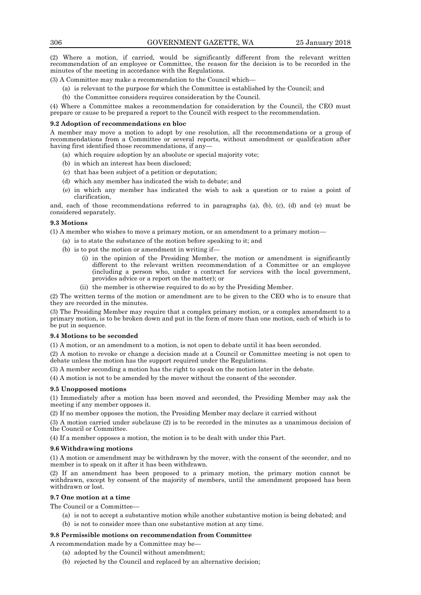(2) Where a motion, if carried, would be significantly different from the relevant written recommendation of an employee or Committee, the reason for the decision is to be recorded in the minutes of the meeting in accordance with the Regulations.

(3) A Committee may make a recommendation to the Council which—

- (a) is relevant to the purpose for which the Committee is established by the Council; and
- (b) the Committee considers requires consideration by the Council.

(4) Where a Committee makes a recommendation for consideration by the Council, the CEO must prepare or cause to be prepared a report to the Council with respect to the recommendation.

#### **9.2 Adoption of recommendations en bloc**

A member may move a motion to adopt by one resolution, all the recommendations or a group of recommendations from a Committee or several reports, without amendment or qualification after having first identified those recommendations, if any—

- (a) which require adoption by an absolute or special majority vote;
- (b) in which an interest has been disclosed;
- (c) that has been subject of a petition or deputation;
- (d) which any member has indicated the wish to debate; and
- (e) in which any member has indicated the wish to ask a question or to raise a point of clarification,

and, each of those recommendations referred to in paragraphs (a), (b), (c), (d) and (e) must be considered separately.

## **9.3 Motions**

(1) A member who wishes to move a primary motion, or an amendment to a primary motion—

- (a) is to state the substance of the motion before speaking to it; and
- (b) is to put the motion or amendment in writing if—
	- (i) in the opinion of the Presiding Member, the motion or amendment is significantly different to the relevant written recommendation of a Committee or an employee (including a person who, under a contract for services with the local government, provides advice or a report on the matter); or
	- (ii) the member is otherwise required to do so by the Presiding Member.

(2) The written terms of the motion or amendment are to be given to the CEO who is to ensure that they are recorded in the minutes.

(3) The Presiding Member may require that a complex primary motion, or a complex amendment to a primary motion, is to be broken down and put in the form of more than one motion, each of which is to be put in sequence.

#### **9.4 Motions to be seconded**

(1) A motion, or an amendment to a motion, is not open to debate until it has been seconded.

(2) A motion to revoke or change a decision made at a Council or Committee meeting is not open to debate unless the motion has the support required under the Regulations.

(3) A member seconding a motion has the right to speak on the motion later in the debate.

(4) A motion is not to be amended by the mover without the consent of the seconder.

#### **9.5 Unopposed motions**

(1) Immediately after a motion has been moved and seconded, the Presiding Member may ask the meeting if any member opposes it.

(2) If no member opposes the motion, the Presiding Member may declare it carried without

(3) A motion carried under subclause (2) is to be recorded in the minutes as a unanimous decision of the Council or Committee.

(4) If a member opposes a motion, the motion is to be dealt with under this Part.

#### **9.6 Withdrawing motions**

(1) A motion or amendment may be withdrawn by the mover, with the consent of the seconder, and no member is to speak on it after it has been withdrawn.

(2) If an amendment has been proposed to a primary motion, the primary motion cannot be withdrawn, except by consent of the majority of members, until the amendment proposed has been withdrawn or lost.

## **9.7 One motion at a time**

The Council or a Committee—

- (a) is not to accept a substantive motion while another substantive motion is being debated; and
- (b) is not to consider more than one substantive motion at any time.

### **9.8 Permissible motions on recommendation from Committee**

A recommendation made by a Committee may be—

- (a) adopted by the Council without amendment;
- (b) rejected by the Council and replaced by an alternative decision;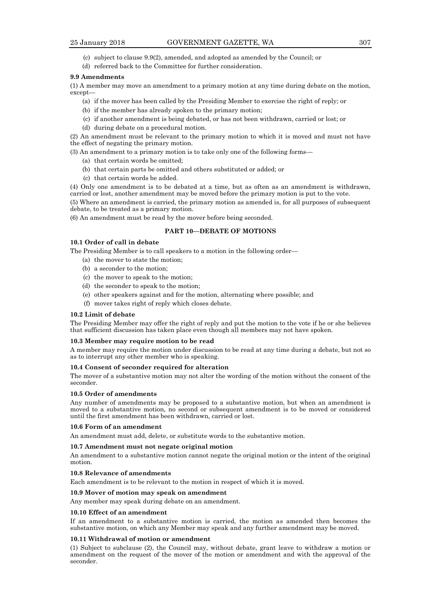- (c) subject to clause 9.9(2), amended, and adopted as amended by the Council; or
- (d) referred back to the Committee for further consideration.

#### **9.9 Amendments**

(1) A member may move an amendment to a primary motion at any time during debate on the motion, except—

- (a) if the mover has been called by the Presiding Member to exercise the right of reply; or
- (b) if the member has already spoken to the primary motion;
- (c) if another amendment is being debated, or has not been withdrawn, carried or lost; or
- (d) during debate on a procedural motion.

(2) An amendment must be relevant to the primary motion to which it is moved and must not have the effect of negating the primary motion.

(3) An amendment to a primary motion is to take only one of the following forms—

- (a) that certain words be omitted;
- (b) that certain parts be omitted and others substituted or added; or
- (c) that certain words be added.

(4) Only one amendment is to be debated at a time, but as often as an amendment is withdrawn, carried or lost, another amendment may be moved before the primary motion is put to the vote.

(5) Where an amendment is carried, the primary motion as amended is, for all purposes of subsequent debate, to be treated as a primary motion.

(6) An amendment must be read by the mover before being seconded.

#### **PART 10—DEBATE OF MOTIONS**

#### **10.1 Order of call in debate**

The Presiding Member is to call speakers to a motion in the following order—

- (a) the mover to state the motion;
- (b) a seconder to the motion;
- (c) the mover to speak to the motion;
- (d) the seconder to speak to the motion;
- (e) other speakers against and for the motion, alternating where possible; and
- (f) mover takes right of reply which closes debate.

#### **10.2 Limit of debate**

The Presiding Member may offer the right of reply and put the motion to the vote if he or she believes that sufficient discussion has taken place even though all members may not have spoken.

#### **10.3 Member may require motion to be read**

A member may require the motion under discussion to be read at any time during a debate, but not so as to interrupt any other member who is speaking.

## **10.4 Consent of seconder required for alteration**

The mover of a substantive motion may not alter the wording of the motion without the consent of the seconder.

#### **10.5 Order of amendments**

Any number of amendments may be proposed to a substantive motion, but when an amendment is moved to a substantive motion, no second or subsequent amendment is to be moved or considered until the first amendment has been withdrawn, carried or lost.

#### **10.6 Form of an amendment**

An amendment must add, delete, or substitute words to the substantive motion.

#### **10.7 Amendment must not negate original motion**

An amendment to a substantive motion cannot negate the original motion or the intent of the original motion.

#### **10.8 Relevance of amendments**

Each amendment is to be relevant to the motion in respect of which it is moved.

#### **10.9 Mover of motion may speak on amendment**

Any member may speak during debate on an amendment.

#### **10.10 Effect of an amendment**

If an amendment to a substantive motion is carried, the motion as amended then becomes the substantive motion, on which any Member may speak and any further amendment may be moved.

#### **10.11 Withdrawal of motion or amendment**

(1) Subject to subclause (2), the Council may, without debate, grant leave to withdraw a motion or amendment on the request of the mover of the motion or amendment and with the approval of the seconder.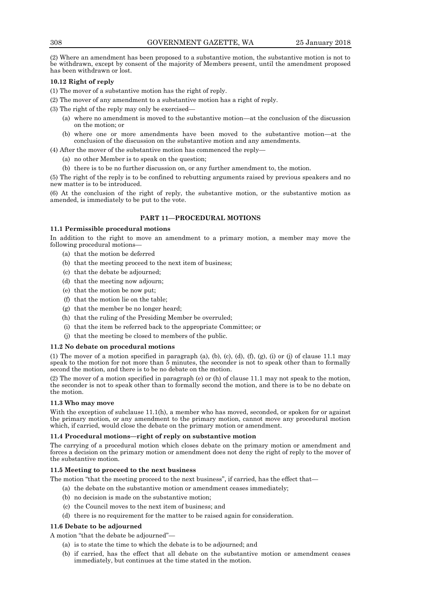(2) Where an amendment has been proposed to a substantive motion, the substantive motion is not to be withdrawn, except by consent of the majority of Members present, until the amendment proposed has been withdrawn or lost.

## **10.12 Right of reply**

(1) The mover of a substantive motion has the right of reply.

(2) The mover of any amendment to a substantive motion has a right of reply.

- (3) The right of the reply may only be exercised—
	- (a) where no amendment is moved to the substantive motion—at the conclusion of the discussion on the motion; or
	- (b) where one or more amendments have been moved to the substantive motion—at the conclusion of the discussion on the substantive motion and any amendments.

(4) After the mover of the substantive motion has commenced the reply—

- (a) no other Member is to speak on the question;
- (b) there is to be no further discussion on, or any further amendment to, the motion.

(5) The right of the reply is to be confined to rebutting arguments raised by previous speakers and no new matter is to be introduced.

(6) At the conclusion of the right of reply, the substantive motion, or the substantive motion as amended, is immediately to be put to the vote.

## **PART 11—PROCEDURAL MOTIONS**

#### **11.1 Permissible procedural motions**

In addition to the right to move an amendment to a primary motion, a member may move the following procedural motions—

- (a) that the motion be deferred
- (b) that the meeting proceed to the next item of business;
- (c) that the debate be adjourned;
- (d) that the meeting now adjourn;
- (e) that the motion be now put;
- (f) that the motion lie on the table;
- (g) that the member be no longer heard;
- (h) that the ruling of the Presiding Member be overruled;
- (i) that the item be referred back to the appropriate Committee; or
- (j) that the meeting be closed to members of the public.

## **11.2 No debate on procedural motions**

(1) The mover of a motion specified in paragraph (a), (b), (c), (d), (f), (g), (i) or (j) of clause 11.1 may speak to the motion for not more than 5 minutes, the seconder is not to speak other than to formally second the motion, and there is to be no debate on the motion.

(2) The mover of a motion specified in paragraph (e) or (h) of clause 11.1 may not speak to the motion, the seconder is not to speak other than to formally second the motion, and there is to be no debate on the motion.

### **11.3 Who may move**

With the exception of subclause 11.1(h), a member who has moved, seconded, or spoken for or against the primary motion, or any amendment to the primary motion, cannot move any procedural motion which, if carried, would close the debate on the primary motion or amendment.

#### **11.4 Procedural motions—right of reply on substantive motion**

The carrying of a procedural motion which closes debate on the primary motion or amendment and forces a decision on the primary motion or amendment does not deny the right of reply to the mover of the substantive motion.

#### **11.5 Meeting to proceed to the next business**

The motion "that the meeting proceed to the next business", if carried, has the effect that—

- (a) the debate on the substantive motion or amendment ceases immediately;
- (b) no decision is made on the substantive motion;
- (c) the Council moves to the next item of business; and
- (d) there is no requirement for the matter to be raised again for consideration.

## **11.6 Debate to be adjourned**

A motion "that the debate be adjourned"—

- (a) is to state the time to which the debate is to be adjourned; and
- (b) if carried, has the effect that all debate on the substantive motion or amendment ceases immediately, but continues at the time stated in the motion.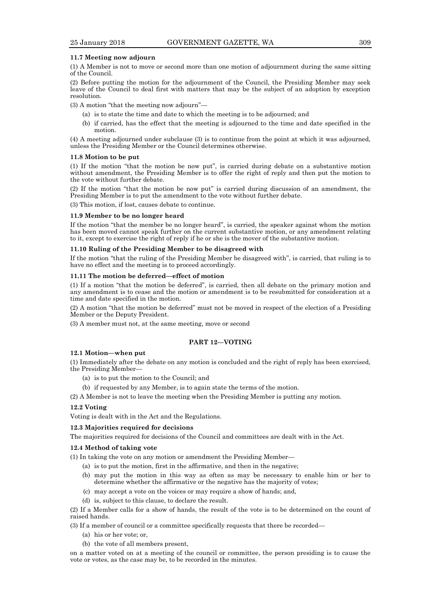#### **11.7 Meeting now adjourn**

(1) A Member is not to move or second more than one motion of adjournment during the same sitting of the Council.

(2) Before putting the motion for the adjournment of the Council, the Presiding Member may seek leave of the Council to deal first with matters that may be the subject of an adoption by exception resolution.

(3) A motion "that the meeting now adjourn"—

- (a) is to state the time and date to which the meeting is to be adjourned; and
- (b) if carried, has the effect that the meeting is adjourned to the time and date specified in the motion.

(4) A meeting adjourned under subclause (3) is to continue from the point at which it was adjourned, unless the Presiding Member or the Council determines otherwise.

#### **11.8 Motion to be put**

(1) If the motion "that the motion be now put", is carried during debate on a substantive motion without amendment, the Presiding Member is to offer the right of reply and then put the motion to the vote without further debate.

(2) If the motion "that the motion be now put" is carried during discussion of an amendment, the Presiding Member is to put the amendment to the vote without further debate.

(3) This motion, if lost, causes debate to continue.

#### **11.9 Member to be no longer heard**

If the motion "that the member be no longer heard", is carried, the speaker against whom the motion has been moved cannot speak further on the current substantive motion, or any amendment relating to it, except to exercise the right of reply if he or she is the mover of the substantive motion.

#### **11.10 Ruling of the Presiding Member to be disagreed with**

If the motion "that the ruling of the Presiding Member be disagreed with", is carried, that ruling is to have no effect and the meeting is to proceed accordingly.

## **11.11 The motion be deferred—effect of motion**

(1) If a motion "that the motion be deferred", is carried, then all debate on the primary motion and any amendment is to cease and the motion or amendment is to be resubmitted for consideration at a time and date specified in the motion.

(2) A motion "that the motion be deferred" must not be moved in respect of the election of a Presiding Member or the Deputy President.

(3) A member must not, at the same meeting, move or second

#### **PART 12—VOTING**

#### **12.1 Motion—when put**

(1) Immediately after the debate on any motion is concluded and the right of reply has been exercised, the Presiding Member—

- (a) is to put the motion to the Council; and
- (b) if requested by any Member, is to again state the terms of the motion.

(2) A Member is not to leave the meeting when the Presiding Member is putting any motion.

#### **12.2 Voting**

Voting is dealt with in the Act and the Regulations.

#### **12.3 Majorities required for decisions**

The majorities required for decisions of the Council and committees are dealt with in the Act.

#### **12.4 Method of taking vote**

(1) In taking the vote on any motion or amendment the Presiding Member—

- (a) is to put the motion, first in the affirmative, and then in the negative;
- (b) may put the motion in this way as often as may be necessary to enable him or her to determine whether the affirmative or the negative has the majority of votes;
- (c) may accept a vote on the voices or may require a show of hands; and,
- (d) is, subject to this clause, to declare the result.

(2) If a Member calls for a show of hands, the result of the vote is to be determined on the count of raised hands.

(3) If a member of council or a committee specifically requests that there be recorded—

- (a) his or her vote; or,
- (b) the vote of all members present,

on a matter voted on at a meeting of the council or committee, the person presiding is to cause the vote or votes, as the case may be, to be recorded in the minutes.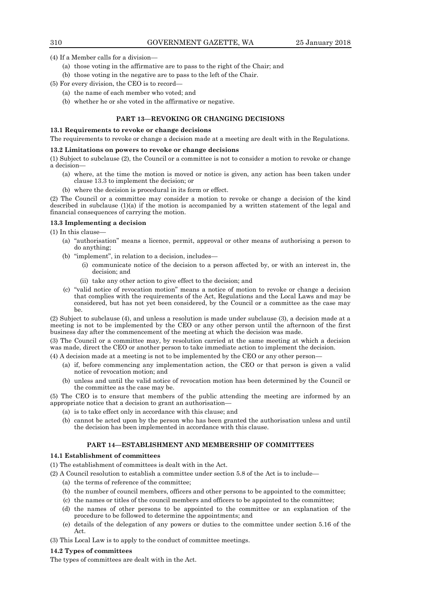(4) If a Member calls for a division—

- (a) those voting in the affirmative are to pass to the right of the Chair; and
- (b) those voting in the negative are to pass to the left of the Chair.
- (5) For every division, the CEO is to record—
	- (a) the name of each member who voted; and
	- (b) whether he or she voted in the affirmative or negative.

## **PART 13—REVOKING OR CHANGING DECISIONS**

#### **13.1 Requirements to revoke or change decisions**

The requirements to revoke or change a decision made at a meeting are dealt with in the Regulations.

#### **13.2 Limitations on powers to revoke or change decisions**

(1) Subject to subclause (2), the Council or a committee is not to consider a motion to revoke or change a decision—

- (a) where, at the time the motion is moved or notice is given, any action has been taken under clause 13.3 to implement the decision; or
- (b) where the decision is procedural in its form or effect.

(2) The Council or a committee may consider a motion to revoke or change a decision of the kind described in subclause  $(1)(a)$  if the motion is accompanied by a written statement of the legal and financial consequences of carrying the motion.

## **13.3 Implementing a decision**

(1) In this clause—

- (a) "authorisation" means a licence, permit, approval or other means of authorising a person to do anything;
- (b) "implement", in relation to a decision, includes—
	- (i) communicate notice of the decision to a person affected by, or with an interest in, the decision; and
	- (ii) take any other action to give effect to the decision; and
- (c) "valid notice of revocation motion" means a notice of motion to revoke or change a decision that complies with the requirements of the Act, Regulations and the Local Laws and may be considered, but has not yet been considered, by the Council or a committee as the case may be.

(2) Subject to subclause (4), and unless a resolution is made under subclause (3), a decision made at a meeting is not to be implemented by the CEO or any other person until the afternoon of the first business day after the commencement of the meeting at which the decision was made.

(3) The Council or a committee may, by resolution carried at the same meeting at which a decision was made, direct the CEO or another person to take immediate action to implement the decision.

(4) A decision made at a meeting is not to be implemented by the CEO or any other person—

- (a) if, before commencing any implementation action, the CEO or that person is given a valid notice of revocation motion; and
- (b) unless and until the valid notice of revocation motion has been determined by the Council or the committee as the case may be.

(5) The CEO is to ensure that members of the public attending the meeting are informed by an appropriate notice that a decision to grant an authorisation—

- (a) is to take effect only in accordance with this clause; and
- (b) cannot be acted upon by the person who has been granted the authorisation unless and until the decision has been implemented in accordance with this clause.

## **PART 14—ESTABLISHMENT AND MEMBERSHIP OF COMMITTEES**

## **14.1 Establishment of committees**

(1) The establishment of committees is dealt with in the Act.

(2) A Council resolution to establish a committee under section 5.8 of the Act is to include—

- (a) the terms of reference of the committee;
- (b) the number of council members, officers and other persons to be appointed to the committee;
- (c) the names or titles of the council members and officers to be appointed to the committee;
- (d) the names of other persons to be appointed to the committee or an explanation of the procedure to be followed to determine the appointments; and
- (e) details of the delegation of any powers or duties to the committee under section 5.16 of the Act.

(3) This Local Law is to apply to the conduct of committee meetings.

#### **14.2 Types of committees**

The types of committees are dealt with in the Act.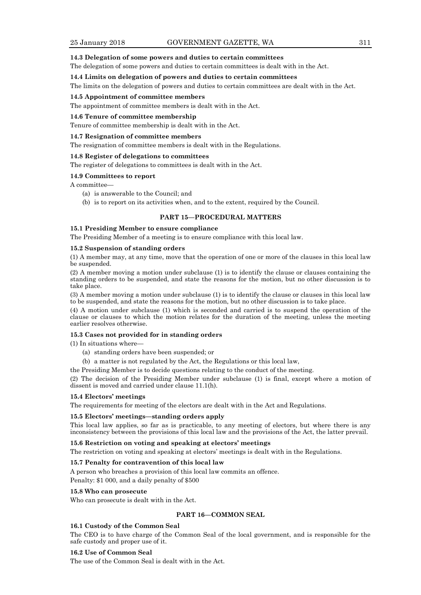#### **14.3 Delegation of some powers and duties to certain committees**

The delegation of some powers and duties to certain committees is dealt with in the Act.

#### **14.4 Limits on delegation of powers and duties to certain committees**

The limits on the delegation of powers and duties to certain committees are dealt with in the Act.

## **14.5 Appointment of committee members**

The appointment of committee members is dealt with in the Act.

#### **14.6 Tenure of committee membership**

Tenure of committee membership is dealt with in the Act.

#### **14.7 Resignation of committee members**

The resignation of committee members is dealt with in the Regulations.

#### **14.8 Register of delegations to committees**

The register of delegations to committees is dealt with in the Act.

#### **14.9 Committees to report**

A committee—

- (a) is answerable to the Council; and
- (b) is to report on its activities when, and to the extent, required by the Council.

#### **PART 15—PROCEDURAL MATTERS**

## **15.1 Presiding Member to ensure compliance**

The Presiding Member of a meeting is to ensure compliance with this local law.

#### **15.2 Suspension of standing orders**

(1) A member may, at any time, move that the operation of one or more of the clauses in this local law be suspended.

(2) A member moving a motion under subclause (1) is to identify the clause or clauses containing the standing orders to be suspended, and state the reasons for the motion, but no other discussion is to take place.

(3) A member moving a motion under subclause (1) is to identify the clause or clauses in this local law to be suspended, and state the reasons for the motion, but no other discussion is to take place.

(4) A motion under subclause (1) which is seconded and carried is to suspend the operation of the clause or clauses to which the motion relates for the duration of the meeting, unless the meeting earlier resolves otherwise.

#### **15.3 Cases not provided for in standing orders**

(1) In situations where—

- (a) standing orders have been suspended; or
- (b) a matter is not regulated by the Act, the Regulations or this local law,

the Presiding Member is to decide questions relating to the conduct of the meeting.

(2) The decision of the Presiding Member under subclause (1) is final, except where a motion of dissent is moved and carried under clause 11.1(h).

## **15.4 Electors' meetings**

The requirements for meeting of the electors are dealt with in the Act and Regulations.

#### **15.5 Electors' meetings—standing orders apply**

This local law applies, so far as is practicable, to any meeting of electors, but where there is any inconsistency between the provisions of this local law and the provisions of the Act, the latter prevail.

#### **15.6 Restriction on voting and speaking at electors' meetings**

The restriction on voting and speaking at electors' meetings is dealt with in the Regulations.

## **15.7 Penalty for contravention of this local law**

A person who breaches a provision of this local law commits an offence.

Penalty: \$1 000, and a daily penalty of \$500

#### **15.8 Who can prosecute**

Who can prosecute is dealt with in the Act.

## **PART 16—COMMON SEAL**

#### **16.1 Custody of the Common Seal**

The CEO is to have charge of the Common Seal of the local government, and is responsible for the safe custody and proper use of it.

#### **16.2 Use of Common Seal**

The use of the Common Seal is dealt with in the Act.